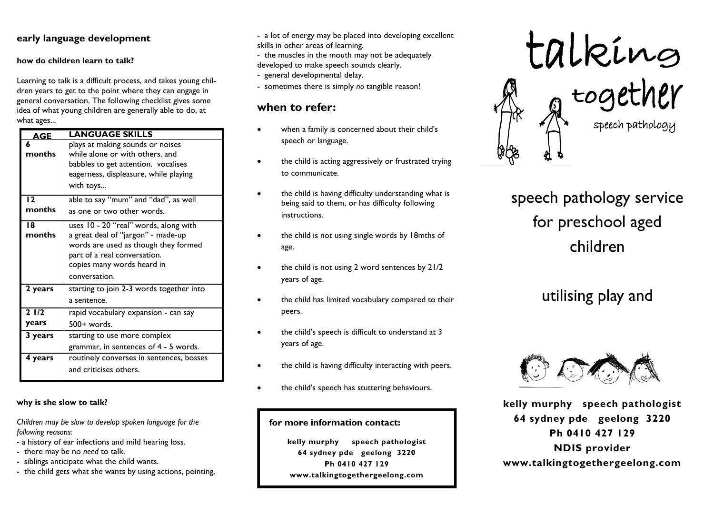### **early language development**

#### **how do children learn to talk?**

Learning to talk is a difficult process, and takes young children years to get to the point where they can engage in general conversation. The following checklist gives some idea of what young children are generally able to do, at what ages...

| <b>AGE</b>   | LANGUAGE SKILLS                                                                                                                                                                   |
|--------------|-----------------------------------------------------------------------------------------------------------------------------------------------------------------------------------|
| 6<br>months  | plays at making sounds or noises<br>while alone or with others, and<br>babbles to get attention. vocalises<br>eagerness, displeasure, while playing<br>with toys                  |
| 12           | able to say "mum" and "dad", as well                                                                                                                                              |
| months       | as one or two other words.                                                                                                                                                        |
| 18<br>months | uses 10 - 20 "real" words, along with<br>a great deal of "jargon" - made-up<br>words are used as though they formed<br>part of a real conversation.<br>copies many words heard in |
|              | conversation.                                                                                                                                                                     |
| 2 years      | starting to join 2-3 words together into<br>a sentence.                                                                                                                           |
| 21/2         | rapid vocabulary expansion - can say                                                                                                                                              |
| years        | 500+ words.                                                                                                                                                                       |
| 3 years      | starting to use more complex                                                                                                                                                      |
|              | grammar, in sentences of 4 - 5 words.                                                                                                                                             |
| 4 years      | routinely converses in sentences, bosses<br>and criticises others.                                                                                                                |

**why is she slow to talk?**

*Children may be slow to develop spoken language for the following reasons:*

- a history of ear infections and mild hearing loss.
- there may be no *need* to talk.
- siblings anticipate what the child wants.
- the child gets what she wants by using actions, pointing,
- a lot of energy may be placed into developing excellent skills in other areas of learning.
- the muscles in the mouth may not be adequately developed to make speech sounds clearly.
- general developmental delay.
- sometimes there is simply *no* tangible reason!

# **when to refer:**

- when a family is concerned about their child's speech or language.
- the child is acting aggressively or frustrated trying to communicate.
- the child is having difficulty understanding what is being said to them, or has difficulty following instructions.
- the child is not using single words by 18mths of age.
- the child is not using 2 word sentences by 21/2 years of age.
- the child has limited vocabulary compared to their peers.
- the child's speech is difficult to understand at 3 years of age.
- the child is having difficulty interacting with peers.
- the child's speech has stuttering behaviours.

#### **for more information contact:**

**kelly murphy speech pathologist 64 sydney pde geelong 3220 Ph 0410 427 129 www.talkingtogethergeelong.com**



speech pathology service for preschool aged children

# utilising play and



**kelly murphy speech pathologist 64 sydney pde geelong 3220 Ph 0410 427 129 NDIS provider www.talkingtogethergeelong.com**